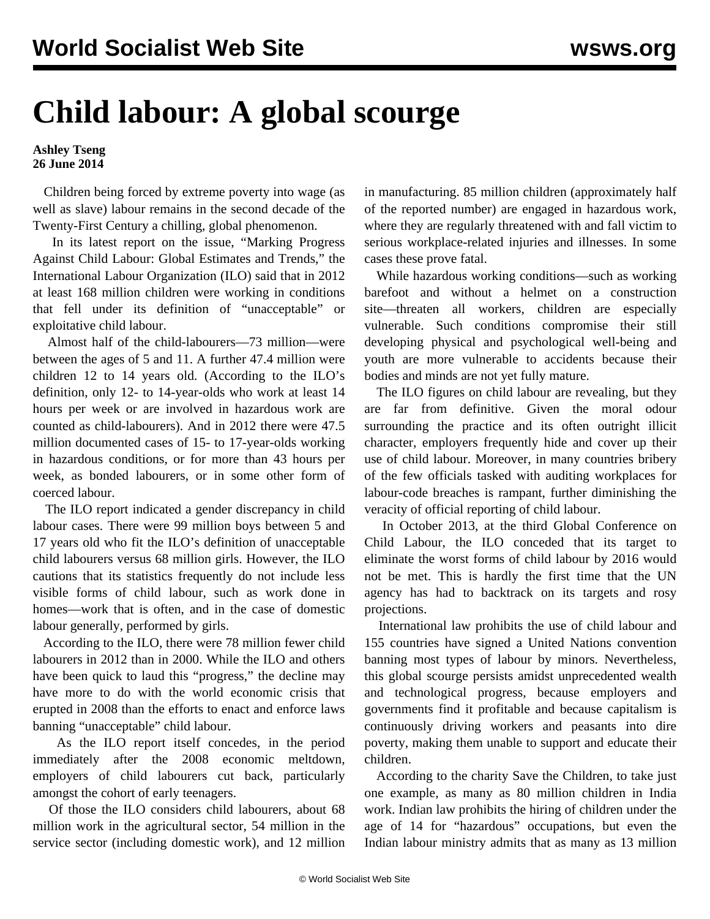## **Child labour: A global scourge**

## **Ashley Tseng 26 June 2014**

 Children being forced by extreme poverty into wage (as well as slave) labour remains in the second decade of the Twenty-First Century a chilling, global phenomenon.

 In its latest report on the issue, "Marking Progress Against Child Labour: Global Estimates and Trends," the International Labour Organization (ILO) said that in 2012 at least 168 million children were working in conditions that fell under its definition of "unacceptable" or exploitative child labour.

 Almost half of the child-labourers—73 million—were between the ages of 5 and 11. A further 47.4 million were children 12 to 14 years old. (According to the ILO's definition, only 12- to 14-year-olds who work at least 14 hours per week or are involved in hazardous work are counted as child-labourers). And in 2012 there were 47.5 million documented cases of 15- to 17-year-olds working in hazardous conditions, or for more than 43 hours per week, as bonded labourers, or in some other form of coerced labour.

 The ILO report indicated a gender discrepancy in child labour cases. There were 99 million boys between 5 and 17 years old who fit the ILO's definition of unacceptable child labourers versus 68 million girls. However, the ILO cautions that its statistics frequently do not include less visible forms of child labour, such as work done in homes—work that is often, and in the case of domestic labour generally, performed by girls.

 According to the ILO, there were 78 million fewer child labourers in 2012 than in 2000. While the ILO and others have been quick to laud this "progress," the decline may have more to do with the world economic crisis that erupted in 2008 than the efforts to enact and enforce laws banning "unacceptable" child labour.

 As the ILO report itself concedes, in the period immediately after the 2008 economic meltdown, employers of child labourers cut back, particularly amongst the cohort of early teenagers.

 Of those the ILO considers child labourers, about 68 million work in the agricultural sector, 54 million in the service sector (including domestic work), and 12 million in manufacturing. 85 million children (approximately half of the reported number) are engaged in hazardous work, where they are regularly threatened with and fall victim to serious workplace-related injuries and illnesses. In some cases these prove fatal.

 While hazardous working conditions—such as working barefoot and without a helmet on a construction site—threaten all workers, children are especially vulnerable. Such conditions compromise their still developing physical and psychological well-being and youth are more vulnerable to accidents because their bodies and minds are not yet fully mature.

 The ILO figures on child labour are revealing, but they are far from definitive. Given the moral odour surrounding the practice and its often outright illicit character, employers frequently hide and cover up their use of child labour. Moreover, in many countries bribery of the few officials tasked with auditing workplaces for labour-code breaches is rampant, further diminishing the veracity of official reporting of child labour.

 In October 2013, at the third Global Conference on Child Labour, the ILO conceded that its target to eliminate the worst forms of child labour by 2016 would not be met. This is hardly the first time that the UN agency has had to backtrack on its targets and rosy projections.

 International law prohibits the use of child labour and 155 countries have signed a United Nations convention banning most types of labour by minors. Nevertheless, this global scourge persists amidst unprecedented wealth and technological progress, because employers and governments find it profitable and because capitalism is continuously driving workers and peasants into dire poverty, making them unable to support and educate their children.

 According to the charity Save the Children, to take just one example, as many as 80 million children in India work. Indian law prohibits the hiring of children under the age of 14 for "hazardous" occupations, but even the Indian labour ministry admits that as many as 13 million